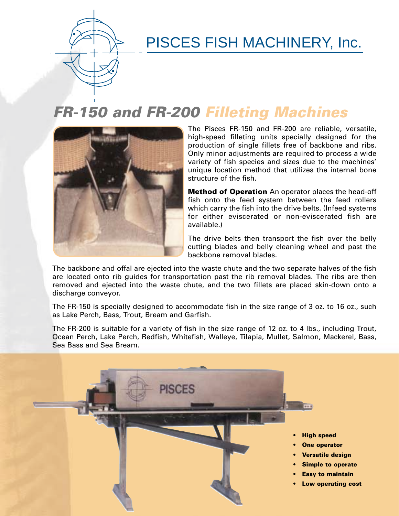

# PISCES FISH MACHINERY, Inc.

### **FR-150 and FR-200 Filleting Machines**



The Pisces FR-150 and FR-200 are reliable, versatile, high-speed filleting units specially designed for the production of single fillets free of backbone and ribs. Only minor adjustments are required to process a wide variety of fish species and sizes due to the machines' unique location method that utilizes the internal bone structure of the fish.

**Method of Operation** An operator places the head-off fish onto the feed system between the feed rollers which carry the fish into the drive belts. (Infeed systems for either eviscerated or non-eviscerated fish are available.)

The drive belts then transport the fish over the belly cutting blades and belly cleaning wheel and past the backbone removal blades.

The backbone and offal are ejected into the waste chute and the two separate halves of the fish are located onto rib guides for transportation past the rib removal blades. The ribs are then removed and ejected into the waste chute, and the two fillets are placed skin-down onto a discharge conveyor.

The FR-150 is specially designed to accommodate fish in the size range of 3 oz. to 16 oz., such as Lake Perch, Bass, Trout, Bream and Garfish.

The FR-200 is suitable for a variety of fish in the size range of 12 oz. to 4 lbs., including Trout, Ocean Perch, Lake Perch, Redfish, Whitefish, Walleye, Tilapia, Mullet, Salmon, Mackerel, Bass, Sea Bass and Sea Bream.